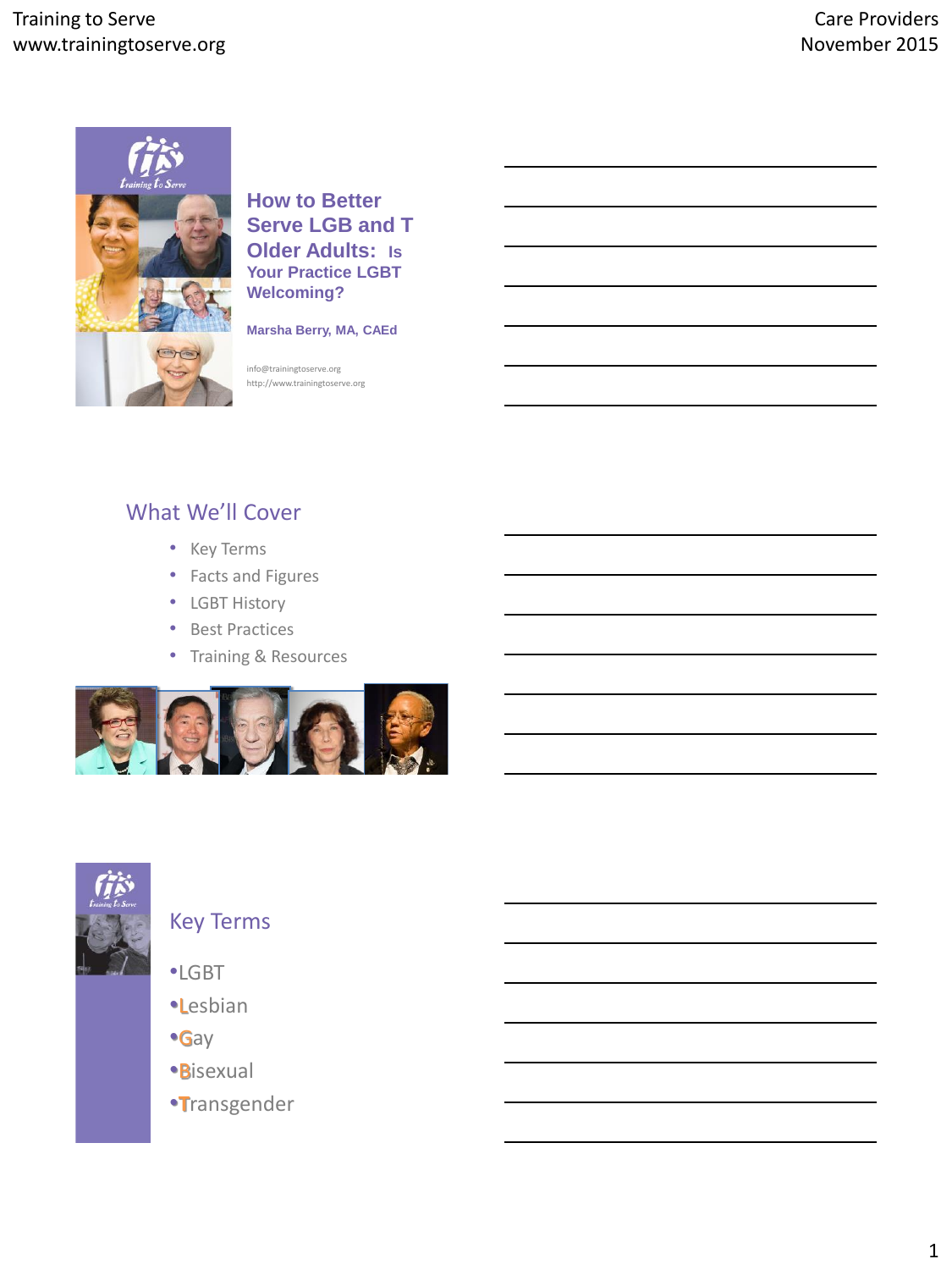

**How to Better Serve LGB and T Older Adults: Is Your Practice LGBT Welcoming?**

**Marsha Berry, MA, CAEd**

info@trainingtoserve.org http://www.trainingtoserve.org

# What We'll Cover

- Key Terms
- Facts and Figures
- LGBT History
- Best Practices
- Training & Resources





# Key Terms

- •LGBT
- •Lesbian
- •Gay
- •Bisexual
- •**T**ransgender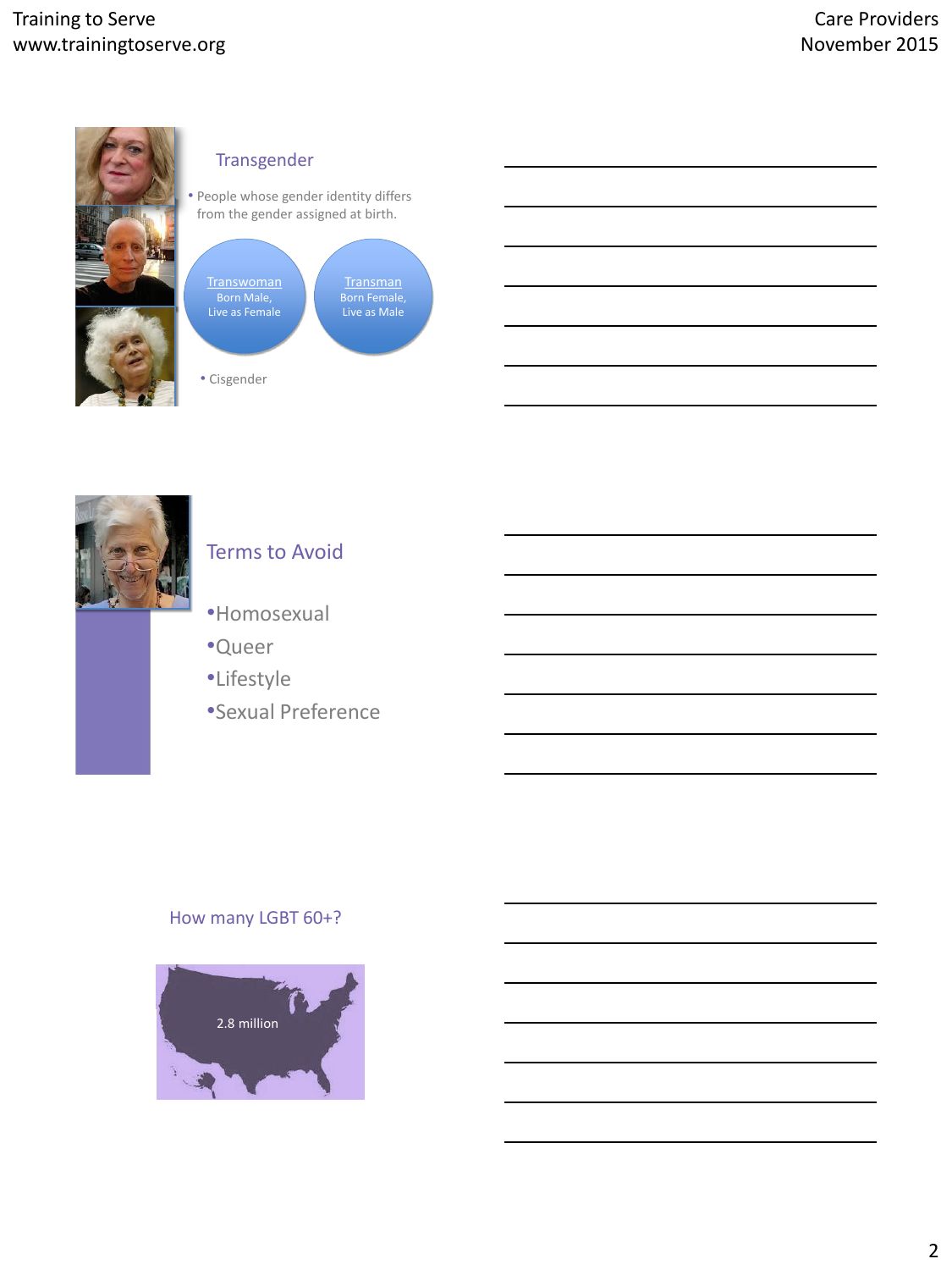

## Transgender

• People whose gender identity differs from the gender assigned at birth.



• Cisgender



# Terms to Avoid

- •Homosexual
- •Queer
- •Lifestyle
- •Sexual Preference

### How many LGBT 60+?

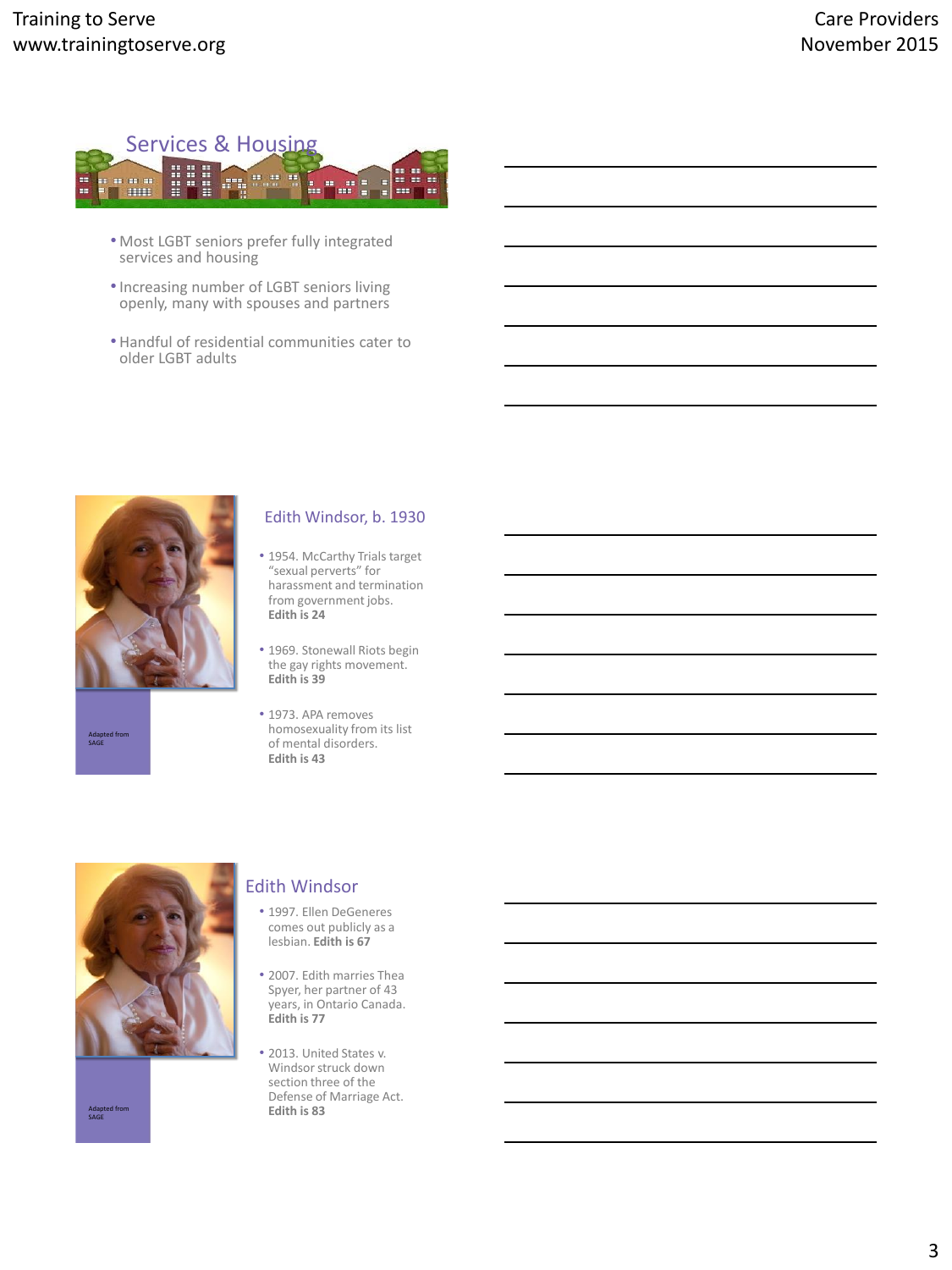

- Most LGBT seniors prefer fully integrated services and housing
- •Increasing number of LGBT seniors living openly, many with spouses and partners
- Handful of residential communities cater to older LGBT adults



Adapted from SAGE

#### Edith Windsor, b. 1930

- 1954. McCarthy Trials target "sexual perverts" for harassment and termination from government jobs. **Edith is 24**
- 1969. Stonewall Riots begin the gay rights movement. **Edith is 39**
- 1973. APA removes homosexuality from its list of mental disorders. **Edith is 43**



Adapt<br>SAGE

#### Edith Windsor

- 1997. Ellen DeGeneres comes out publicly as a lesbian. **Edith is 67**
- 2007. Edith marries Thea Spyer, her partner of 43 years, in Ontario Canada. **Edith is 77**
- 2013. United States v. Windsor struck down section three of the Defense of Marriage Act. **Edith is 83**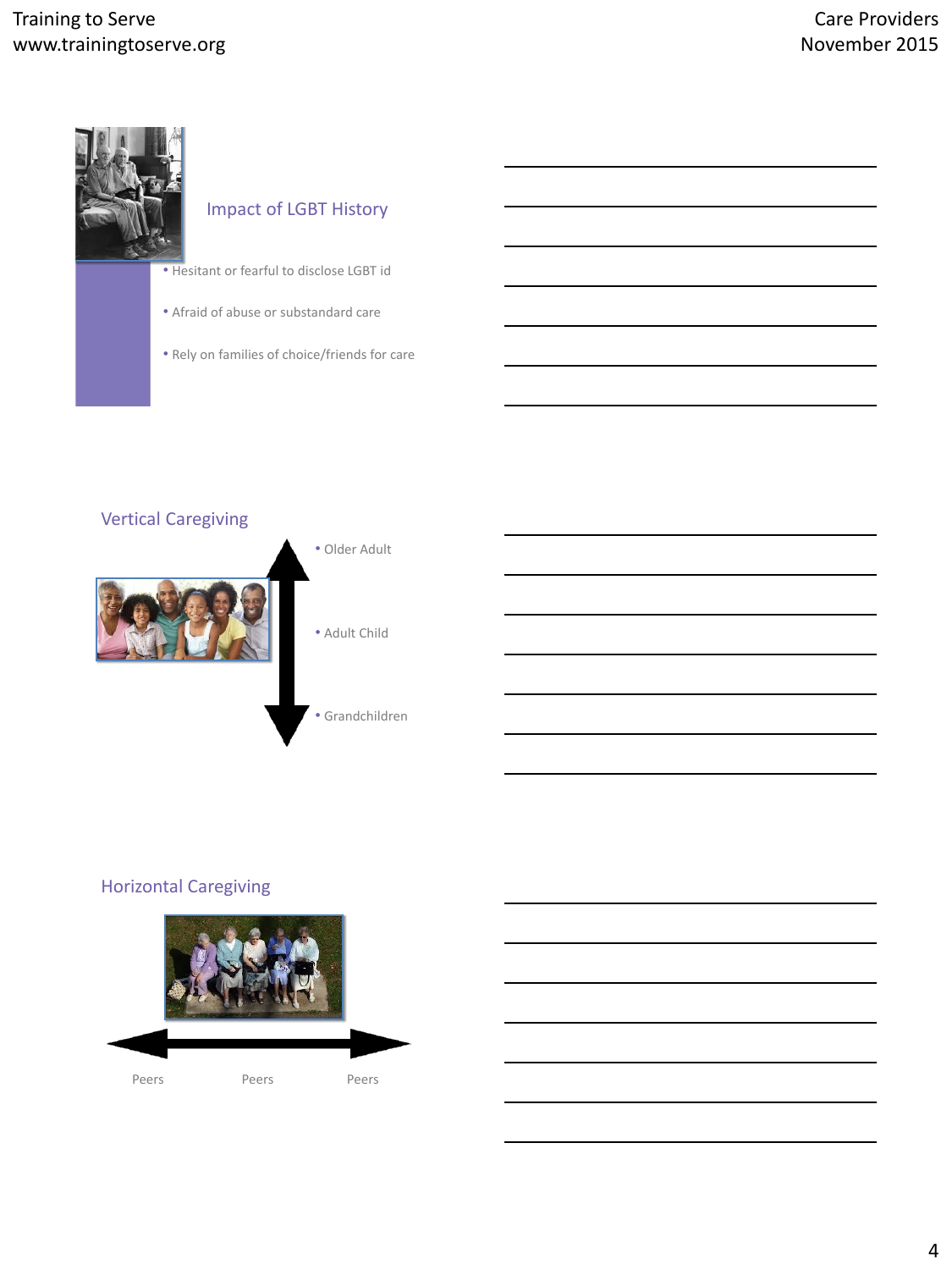# Training to Serve www.trainingtoserve.org



# Impact of LGBT History

- Hesitant or fearful to disclose LGBT id
- Afraid of abuse or substandard care
- Rely on families of choice/friends for care



## Horizontal Caregiving

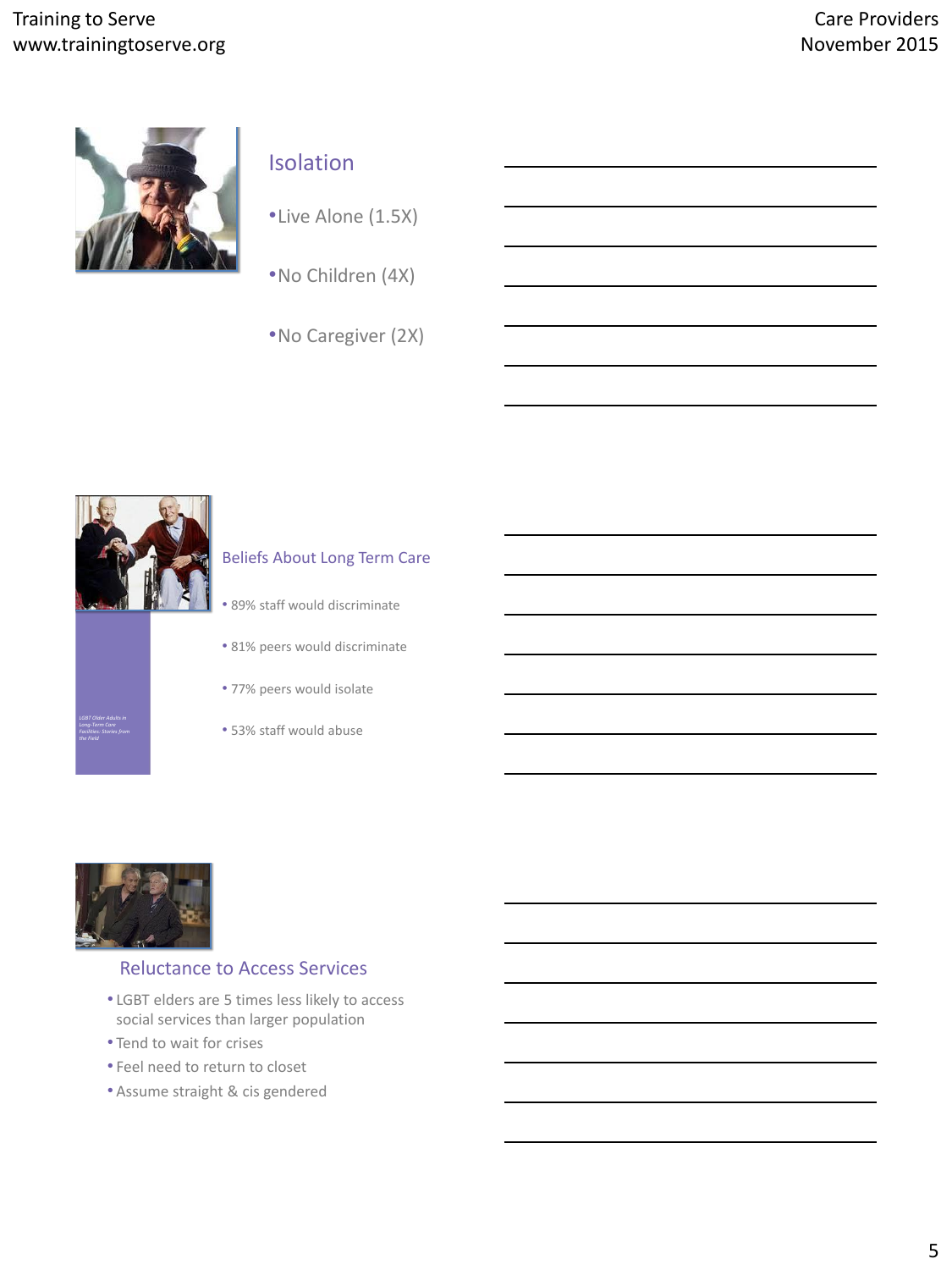

# Isolation

•Live Alone (1.5X)

- •No Children (4X)
- •No Caregiver (2X)



*LGBT Older Adults in Long-Term Care Facilities: Stories from* 

#### Beliefs About Long Term Care

- 89% staff would discriminate
- 81% peers would discriminate
- 77% peers would isolate
- 53% staff would abuse



### Reluctance to Access Services

- LGBT elders are 5 times less likely to access social services than larger population
- Tend to wait for crises
- Feel need to return to closet
- Assume straight & cis gendered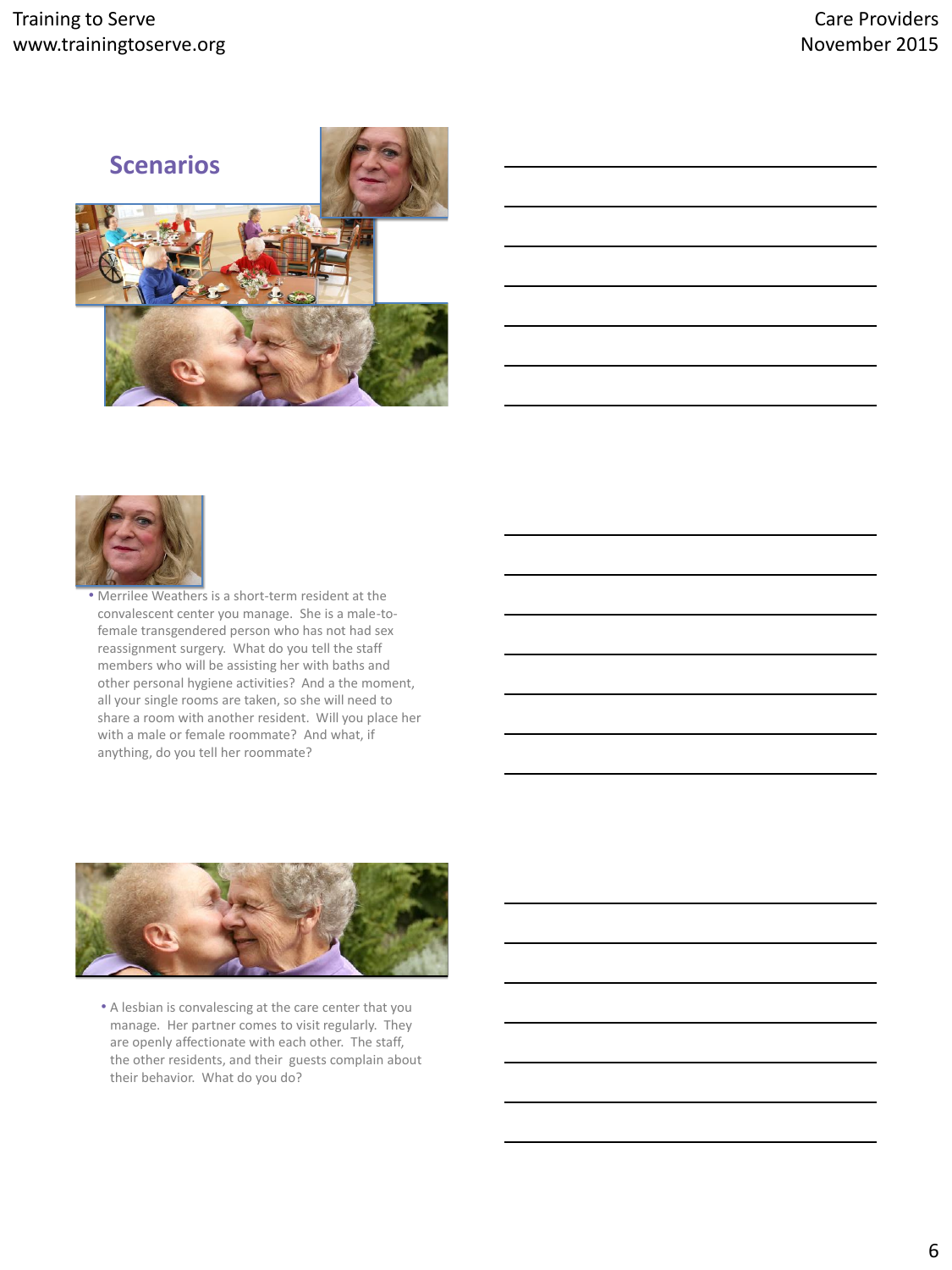



• Merrilee Weathers is a short-term resident at the convalescent center you manage. She is a male-tofemale transgendered person who has not had sex reassignment surgery. What do you tell the staff members who will be assisting her with baths and other personal hygiene activities? And a the moment, all your single rooms are taken, so she will need to share a room with another resident. Will you place her with a male or female roommate? And what, if anything, do you tell her roommate?



• A lesbian is convalescing at the care center that you manage. Her partner comes to visit regularly. They are openly affectionate with each other. The staff, the other residents, and their guests complain about their behavior. What do you do?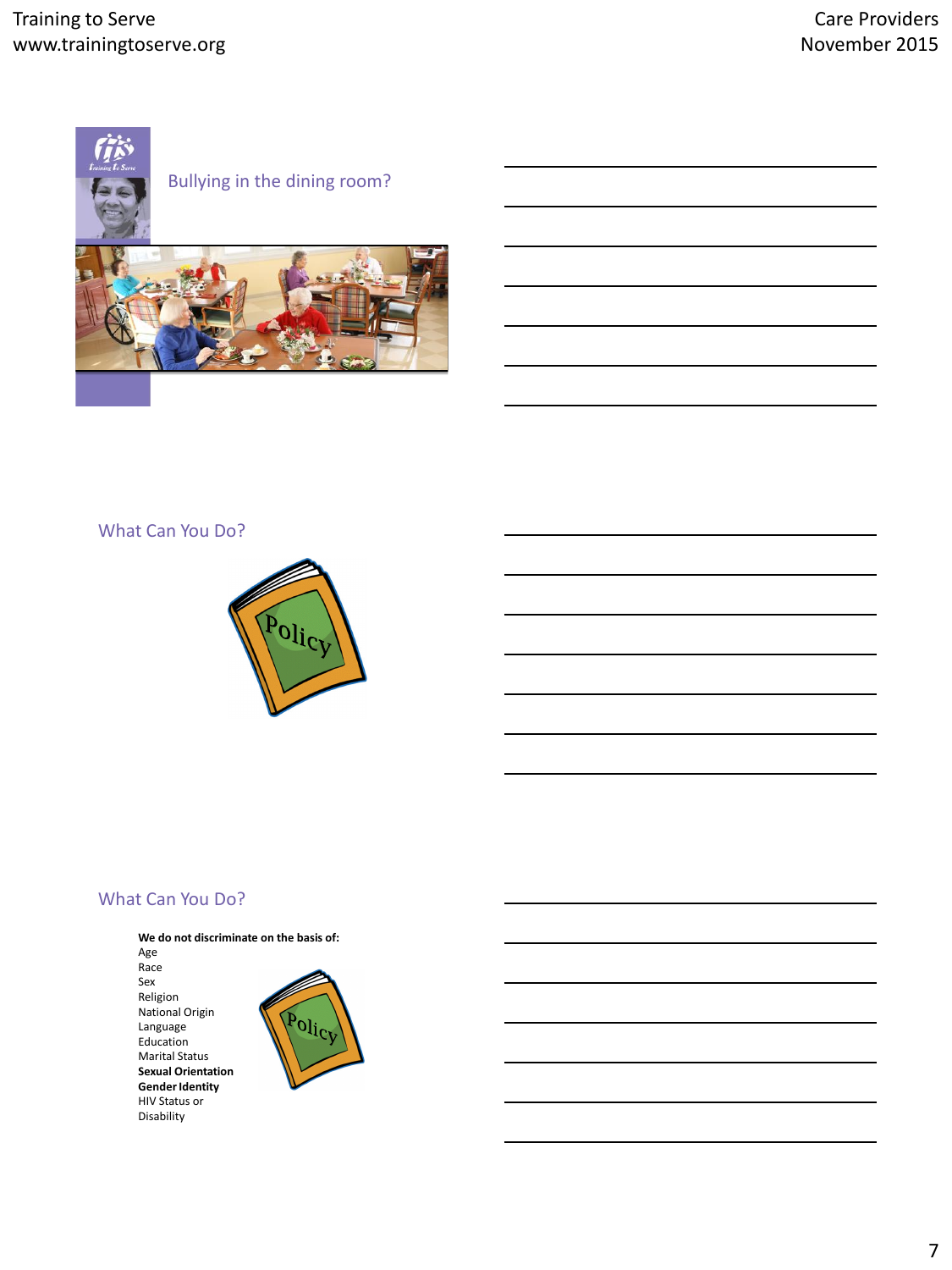





#### What Can You Do?



#### What Can You Do?

**We do not discriminate on the basis of:**  Age Race Sex Religion National Origin Language Education Marital Status **Sexual Orientation Gender Identity** HIV Status or Disability

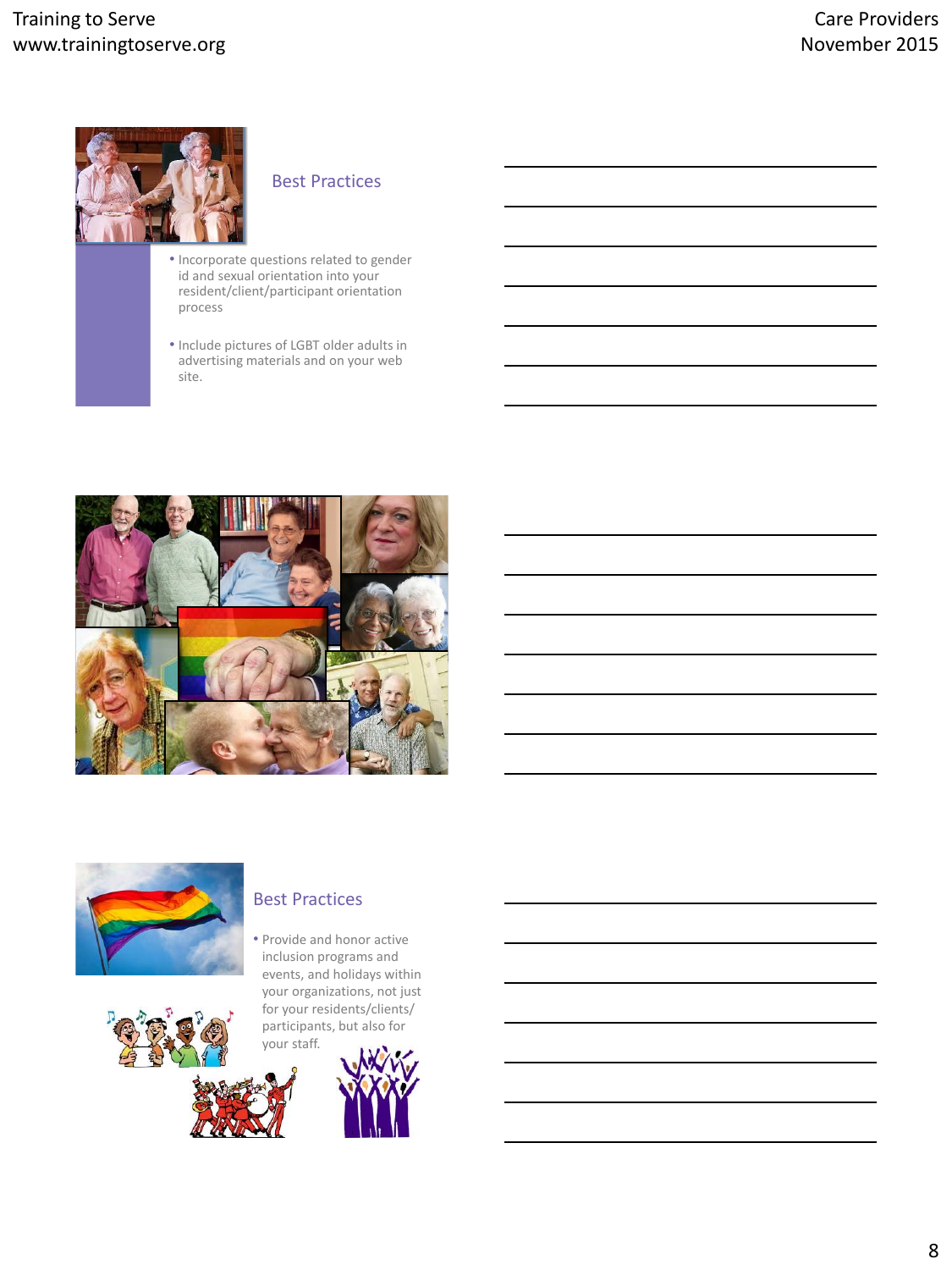

## Best Practices

- Incorporate questions related to gender id and sexual orientation into your resident/client/participant orientation process
- Include pictures of LGBT older adults in advertising materials and on your web site.





#### Best Practices

• Provide and honor active inclusion programs and events, and holidays within your organizations, not just for your residents/clients/ participants, but also for

your staff.

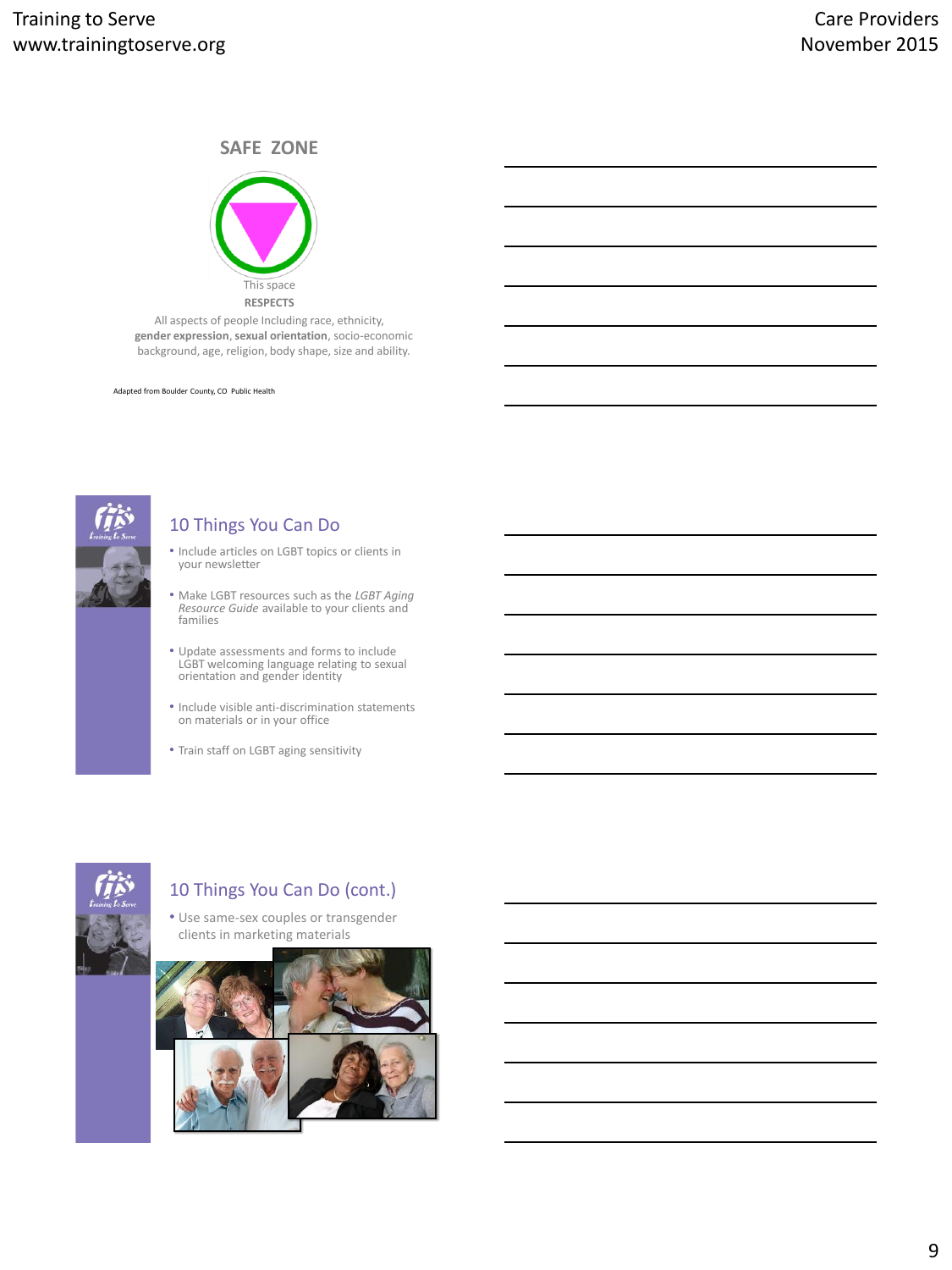## **SAFE ZONE**



All aspects of people Including race, ethnicity, **gender expression**, **sexual orientation**, socio-economic background, age, religion, body shape, size and ability.

Adapted from Boulder County, CO Public Health



### 10 Things You Can Do

- Include articles on LGBT topics or clients in your newsletter
- Make LGBT resources such as the *LGBT Aging Resource Guide* available to your clients and families
- Update assessments and forms to include LGBT welcoming language relating to sexual orientation and gender identity
- Include visible anti-discrimination statements on materials or in your office
- Train staff on LGBT aging sensitivity



# 10 Things You Can Do (cont.)

• Use same-sex couples or transgender clients in marketing materials